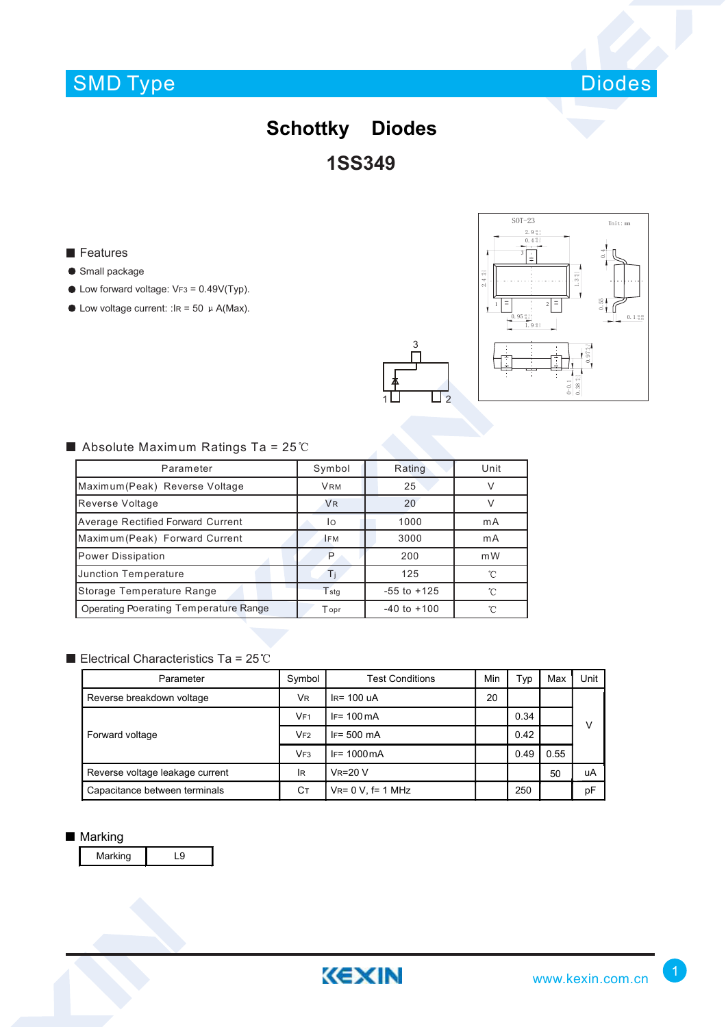# SMD Type



## **1SS349 Schottky Diodes**

#### **Features**

- **Small package**
- $\bullet$  Low forward voltage: VF3 = 0.49V(Typ).
- $\bullet$  Low voltage current: : IR = 50  $\mu$  A(Max).





### Absolute Maximum Ratings Ta =  $25^{\circ}$ C

| Parameter                                | Symbol               | Rating          | Unit |
|------------------------------------------|----------------------|-----------------|------|
| Maximum (Peak) Reverse Voltage           | <b>VRM</b>           | 25              |      |
| Reverse Voltage                          | <b>V<sub>R</sub></b> | 20              |      |
| <b>Average Rectified Forward Current</b> | lo                   | 1000            | mA   |
| Maximum(Peak) Forward Current            | IFM                  | 3000            | mA   |
| Power Dissipation                        | P                    | 200             | m W  |
| Junction Temperature                     | П                    | 125             | ℃    |
| Storage Temperature Range                | $T_{\text{std}}$     | $-55$ to $+125$ | ^    |
| Operating Poerating Temperature Range    | Topr                 | $-40$ to $+100$ | ∽    |

### Electrical Characteristics Ta =  $25^{\circ}$ C

| Parameter                       | Symbol          | <b>Test Conditions</b>   | Min | Typ  | Max  | Unit |
|---------------------------------|-----------------|--------------------------|-----|------|------|------|
| Reverse breakdown voltage       | VR.             | $IR = 100$ uA            | 20  |      |      |      |
| Forward voltage                 | VF <sub>1</sub> | $IF = 100 \text{ mA}$    |     | 0.34 |      | ν    |
|                                 | VF2             | $IF = 500 \, mA$         |     | 0.42 |      |      |
|                                 | VF <sub>3</sub> | $IF = 1000mA$            |     | 0.49 | 0.55 |      |
| Reverse voltage leakage current | lR              | $V_R = 20 V$             |     |      | 50   | uA   |
| Capacitance between terminals   | Ст              | $V_{R} = 0 V$ , f= 1 MHz |     | 250  |      | рF   |

#### ■ Marking

Marking L9